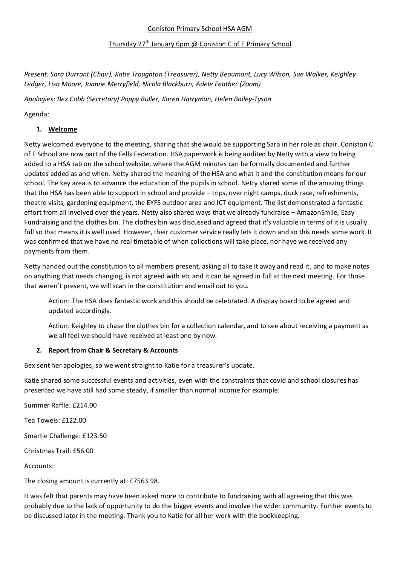#### Coniston Primary School HSA AGM

#### Thursday 27th January 6pm @ Coniston C of E Primary School

*Present: Sara Durrant (Chair), Katie Troughton (Treasurer), Netty Beaumont, Lucy Wilson, Sue Walker, Keighley Ledger, Lisa Moore, Joanne Merryfield, Nicola Blackburn, Adele Feather (Zoom)*

*Apologies: Bex Cobb (Secretary) Poppy Buller, Karen Harryman, Helen Bailey-Tyson*

Agenda:

### **1. Welcome**

Netty welcomed everyone to the meeting, sharing that she would be supporting Sara in her role as chair. Coniston C of E School are now part of the Fells Federation. HSA paperwork is being audited by Netty with a view to being added to a HSA tab on the school website, where the AGM minutes can be formally documented and further updates added as and when. Netty shared the meaning of the HSA and what it and the constitution means for our school. The key area is to advance the education of the pupils in school. Netty shared some of the amazing things that the HSA has been able to support in school and provide – trips, over night camps, duck race, refreshments, theatre visits, gardening equipment, the EYFS outdoor area and ICT equipment. The list demonstrated a fantastic effort from all involved over the years. Netty also shared ways that we already fundraise – AmazonSmile, Easy Fundraising and the clothes bin. The clothes bin was discussed and agreed that it's valuable in terms of it is usually full so that means it is well used. However, their customer service really lets it down and so this needs some work. It was confirmed that we have no real timetable of when collections will take place, nor have we received any payments from them.

Netty handed out the constitution to all members present, asking all to take it away and read it, and to make notes on anything that needs changing, is not agreed with etc and it can be agreed in full at the next meeting. For those that weren't present, we will scan in the constitution and email out to you.

Action: The HSA does fantastic work and this should be celebrated. A display board to be agreed and updated accordingly.

Action: Keighley to chase the clothes bin for a collection calendar, and to see about receiving a payment as we all feel we should have received at least one by now.

#### **2. Report from Chair & Secretary & Accounts**

Bex sent her apologies, so we went straight to Katie for a treasurer's update.

Katie shared some successful events and activities, even with the constraints that covid and school closures has presented we have still had some steady, if smaller than normal income for example:

Summer Raffle: £214.00

Tea Towels: £122.00

Smartie Challenge: £123.50

Christmas Trail: £56.00

Accounts:

The closing amount is currently at: £7563.98.

It was felt that parents may have been asked more to contribute to fundraising with all agreeing that this was probably due to the lack of opportunity to do the bigger events and involve the wider community. Further events to be discussed later in the meeting. Thank you to Katie for all her work with the bookkeeping.